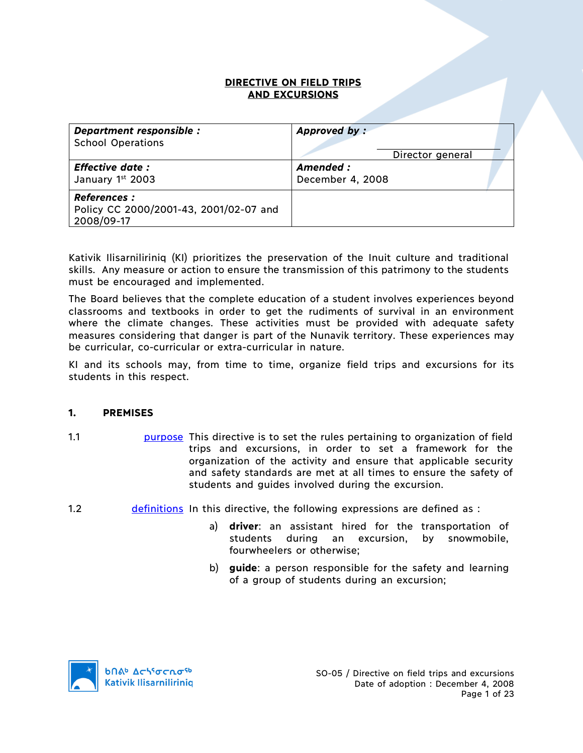### **DIRECTIVE ON FIELD TRIPS AND EXCURSIONS**

| Department responsible :<br><b>School Operations</b>                       | Approved by:<br>Director general |  |
|----------------------------------------------------------------------------|----------------------------------|--|
| <b>Effective date:</b><br>January 1st 2003                                 | Amended :<br>December 4, 2008    |  |
| <b>References:</b><br>Policy CC 2000/2001-43, 2001/02-07 and<br>2008/09-17 |                                  |  |

Kativik Ilisarniliriniq (KI) prioritizes the preservation of the Inuit culture and traditional skills. Any measure or action to ensure the transmission of this patrimony to the students must be encouraged and implemented.

The Board believes that the complete education of a student involves experiences beyond classrooms and textbooks in order to get the rudiments of survival in an environment where the climate changes. These activities must be provided with adequate safety measures considering that danger is part of the Nunavik territory. These experiences may be curricular, co-curricular or extra-curricular in nature.

KI and its schools may, from time to time, organize field trips and excursions for its students in this respect.

## **1. PREMISES**

- 1.1 **purpose** This directive is to set the rules pertaining to organization of field trips and excursions, in order to set a framework for the organization of the activity and ensure that applicable security and safety standards are met at all times to ensure the safety of students and guides involved during the excursion.
- 1.2 definitions In this directive, the following expressions are defined as :
	- a) **driver**: an assistant hired for the transportation of students during an excursion, by snowmobile, fourwheelers or otherwise;
	- b) **guide**: a person responsible for the safety and learning of a group of students during an excursion;

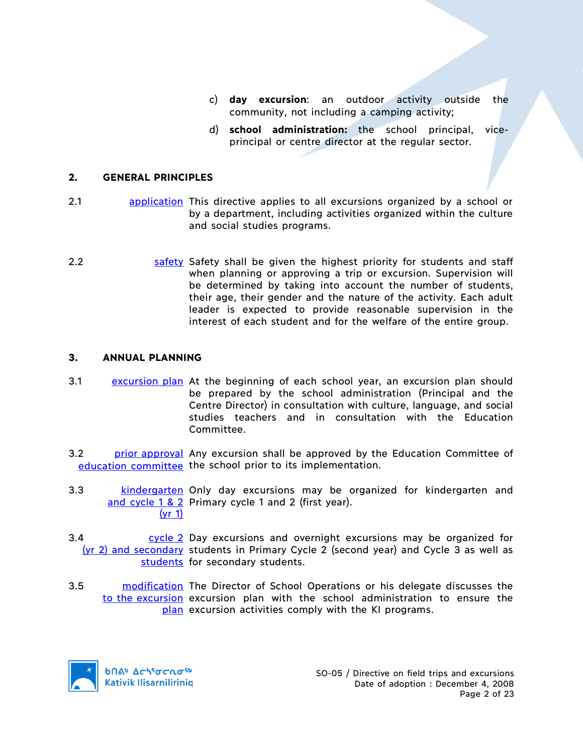- c) **day excursion**: an outdoor activity outside the community, not including a camping activity;
- d) **school administration:** the school principal, viceprincipal or centre director at the regular sector.

### **2. GENERAL PRINCIPLES**

- 2.1 **application** This directive applies to all excursions organized by a school or by a department, including activities organized within the culture and social studies programs.
- 2.2 safety Safety shall be given the highest priority for students and staff when planning or approving a trip or excursion. Supervision will be determined by taking into account the number of students, their age, their gender and the nature of the activity. Each adult leader is expected to provide reasonable supervision in the interest of each student and for the welfare of the entire group.

### **3. ANNUAL PLANNING**

- 3.1 excursion plan At the beginning of each school year, an excursion plan should be prepared by the school administration (Principal and the Centre Director) in consultation with culture, language, and social studies teachers and in consultation with the Education Committee.
- 3.2 **prior approval** Any excursion shall be approved by the Education Committee of education committee the school prior to its implementation.
- 3.3 kindergarten Only day excursions may be organized for kindergarten and and cycle 1 & 2 Primary cycle 1 and 2 (first year).  $(vr 1)$
- 3.4 cycle 2 Day excursions and overnight excursions may be organized for (yr 2) and secondary students in Primary Cycle 2 (second year) and Cycle 3 as well as students for secondary students.
- 3.5 modification The Director of School Operations or his delegate discusses the to the excursion excursion plan with the school administration to ensure the plan excursion activities comply with the KI programs.

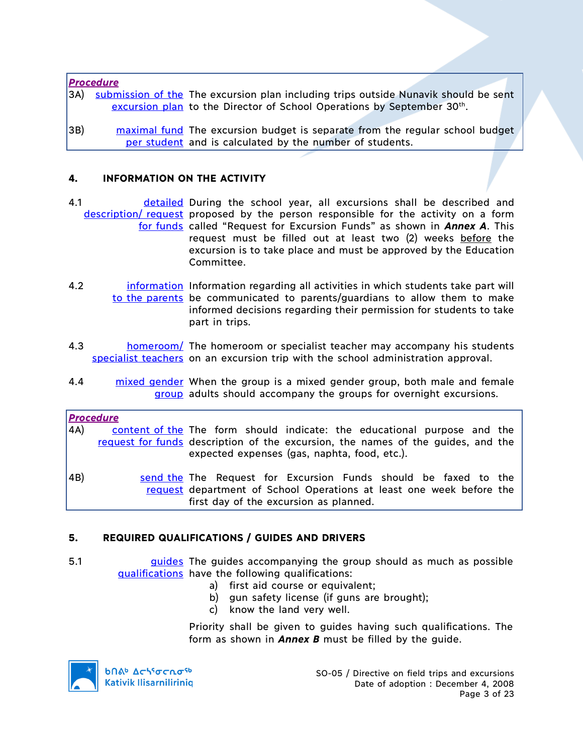*Procedure* 3A) submission of the The excursion plan including trips outside Nunavik should be sent excursion plan to the Director of School Operations by September 30<sup>th</sup>. 3B) maximal fund The excursion budget is separate from the regular school budget per student and is calculated by the number of students.

## **4. INFORMATION ON THE ACTIVITY**

- 4.1 **detailed** During the school year, all excursions shall be described and description/ request proposed by the person responsible for the activity on a form for funds called "Request for Excursion Funds" as shown in *Annex A*. This request must be filled out at least two (2) weeks before the excursion is to take place and must be approved by the Education Committee.
- 4.2 **information** Information regarding all activities in which students take part will to the parents be communicated to parents/guardians to allow them to make informed decisions regarding their permission for students to take part in trips.
- 4.3 homeroom/ The homeroom or specialist teacher may accompany his students specialist teachers on an excursion trip with the school administration approval.
- 4.4 mixed gender When the group is a mixed gender group, both male and female group adults should accompany the groups for overnight excursions.

### *Procedure*

- 4A) content of the The form should indicate: the educational purpose and the request for funds description of the excursion, the names of the guides, and the expected expenses (gas, naphta, food, etc.).
- 4B) send the The Request for Excursion Funds should be faxed to the request department of School Operations at least one week before the first day of the excursion as planned.

## **5. REQUIRED QUALIFICATIONS / GUIDES AND DRIVERS**

- 5.1 **builary on the guides** accompanying the group should as much as possible qualifications have the following qualifications:
	- a) first aid course or equivalent;
	- b) gun safety license (if guns are brought);
	- c) know the land very well.

Priority shall be given to guides having such qualifications. The form as shown in *Annex B* must be filled by the guide.



**b**በል<sup>b</sup> Δς<sup>56</sup>σς λσ<sup>ς6</sup> **Kativik Ilisarniliriniq**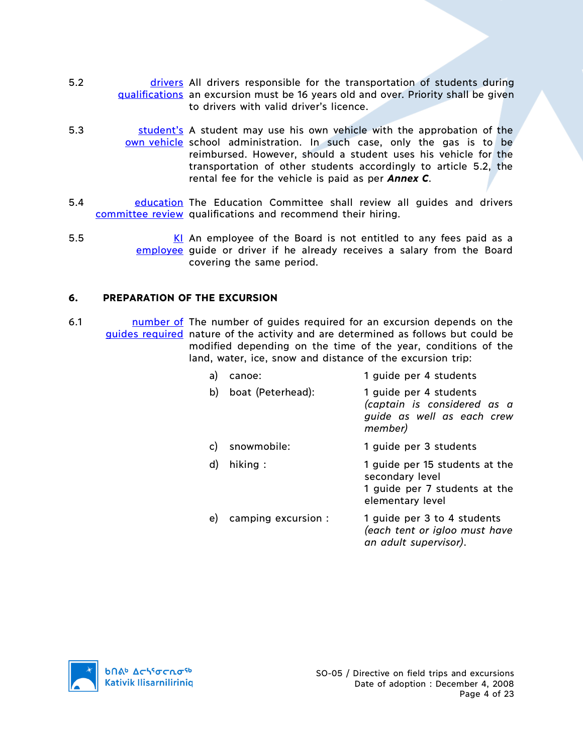- 5.2 **drivers** All drivers responsible for the transportation of students during aualifications an excursion must be 16 years old and over. Priority shall be given to drivers with valid driver's licence.
- 5.3 **Student's** A student may use his own vehicle with the approbation of the own vehicle school administration. In such case, only the gas is to be reimbursed. However, should a student uses his vehicle for the transportation of other students accordingly to article 5.2, the rental fee for the vehicle is paid as per *Annex C*.
- 5.4 **Example 20 education** The Education Committee shall review all guides and drivers committee review qualifications and recommend their hiring.
- $5.5$ employee guide or driver if he already receives a salary from the Board KI An employee of the Board is not entitled to any fees paid as a covering the same period.

### **6. PREPARATION OF THE EXCURSION**

6.1 **I** number of The number of guides required for an excursion depends on the quides required nature of the activity and are determined as follows but could be modified depending on the time of the year, conditions of the land, water, ice, snow and distance of the excursion trip:

| a) | canoe:              | 1 guide per 4 students                                                                                 |
|----|---------------------|--------------------------------------------------------------------------------------------------------|
| b) | boat (Peterhead):   | 1 guide per 4 students<br>(captain is considered as a<br>guide as well as each crew<br>member)         |
| C) | snowmobile:         | 1 guide per 3 students                                                                                 |
| d) | hiking :            | 1 guide per 15 students at the<br>secondary level<br>1 guide per 7 students at the<br>elementary level |
| e) | camping excursion : | 1 guide per 3 to 4 students<br>(each tent or igloo must have<br>an adult supervisor).                  |

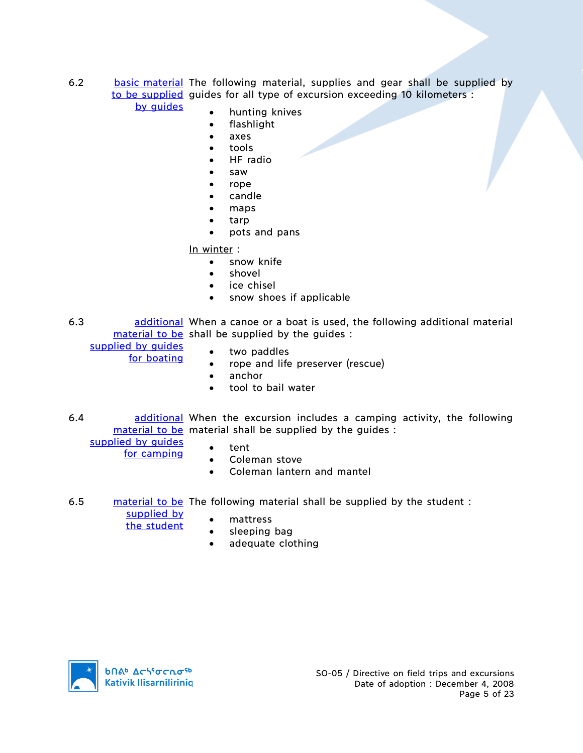6.2 basic material The following material, supplies and gear shall be supplied by to be supplied guides for all type of excursion exceeding 10 kilometers :

## by guides

- hunting knives
- flashlight
- axes
- tools
- HF radio
- saw
- rope
- candle
- maps
- tarp
- pots and pans

### In winter :

- snow knife
- shovel
- ice chisel
- snow shoes if applicable

6.3 **additional When a canoe or a boat is used, the following additional material** material to be shall be supplied by the guides :

supplied by guides

for boating

- two paddles
- rope and life preserver (rescue)
- anchor
- tool to bail water
- 6.4 **additional When the excursion includes a camping activity, the following** material to be material shall be supplied by the guides :

supplied by guides

- for camping
	- Coleman stove

• tent

- Coleman lantern and mantel
- 6.5 material to be The following material shall be supplied by the student:
	- supplied by the student
- mattress
- sleeping bag
- adequate clothing

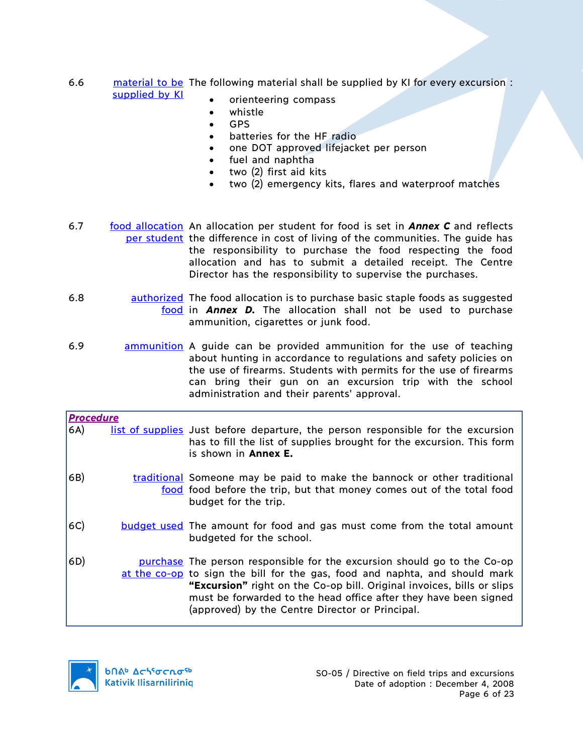- 6.6 material to be The following material shall be supplied by KI for every excursion : supplied by KI
	- orienteering compass
	- whistle
	- GPS
	- batteries for the HF radio
	- one DOT approved lifejacket per person
	- fuel and naphtha
	- two (2) first aid kits
	- two (2) emergency kits, flares and waterproof matches
- 6.7 food allocation An allocation per student for food is set in **Annex C** and reflects per student the difference in cost of living of the communities. The guide has the responsibility to purchase the food respecting the food allocation and has to submit a detailed receipt. The Centre Director has the responsibility to supervise the purchases.
- 6.8 **authorized** The food allocation is to purchase basic staple foods as suggested food in *Annex D.* The allocation shall not be used to purchase ammunition, cigarettes or junk food.
- 6.9 ammunition A guide can be provided ammunition for the use of teaching about hunting in accordance to regulations and safety policies on the use of firearms. Students with permits for the use of firearms can bring their gun on an excursion trip with the school administration and their parents' approval.

| <u>Procedure</u> |                                                                                                                                                           |
|------------------|-----------------------------------------------------------------------------------------------------------------------------------------------------------|
| 6A)              | list of supplies Just before departure, the person responsible for the excursion<br>has to fill the list of supplies brought for the excursion. This form |
|                  | is shown in <b>Annex E.</b>                                                                                                                               |
| 6B)              | traditional Someone may be paid to make the bannock or other traditional                                                                                  |
|                  | food food before the trip, but that money comes out of the total food<br>budget for the trip.                                                             |
| 6C)              | <b>budget used</b> The amount for food and gas must come from the total amount                                                                            |
|                  | budgeted for the school.                                                                                                                                  |
| 6D)              | purchase The person responsible for the excursion should go to the Co-op                                                                                  |
|                  | at the co-op to sign the bill for the gas, food and naphta, and should mark<br>"Excursion" right on the Co-op bill. Original invoices, bills or slips     |
|                  | must be forwarded to the head office after they have been signed<br>(approved) by the Centre Director or Principal.                                       |
|                  |                                                                                                                                                           |

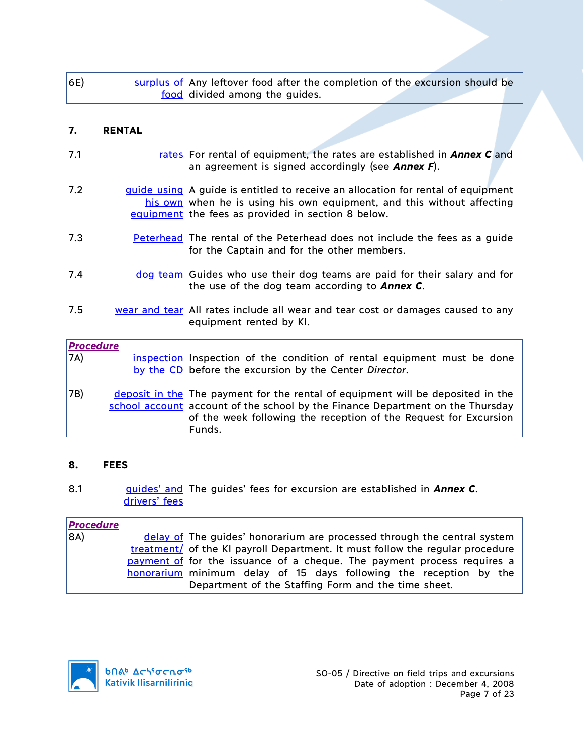| 6E) | surplus of Any leftover food after the completion of the excursion should be |  |  |
|-----|------------------------------------------------------------------------------|--|--|
|     | food divided among the guides.                                               |  |  |

### **7. RENTAL**

- 7.1 rates For rental of equipment, the rates are established in *Annex C* and an agreement is signed accordingly (see *Annex F*).
- 7.2 guide using A guide is entitled to receive an allocation for rental of equipment his own when he is using his own equipment, and this without affecting equipment the fees as provided in section 8 below.
- 7.3 **Peterhead The rental of the Peterhead does not include the fees as a guide** for the Captain and for the other members.
- 7.4 dog team Guides who use their dog teams are paid for their salary and for the use of the dog team according to *Annex C*.
- 7.5 wear and tear All rates include all wear and tear cost or damages caused to any equipment rented by KI.

| <b>Procedure</b><br>7A) | inspection Inspection of the condition of rental equipment must be done<br>by the CD before the excursion by the Center Director.                                                                                                               |
|-------------------------|-------------------------------------------------------------------------------------------------------------------------------------------------------------------------------------------------------------------------------------------------|
| 7B)                     | deposit in the The payment for the rental of equipment will be deposited in the<br>school account account of the school by the Finance Department on the Thursday<br>of the week following the reception of the Request for Excursion<br>Funds. |

### **8. FEES**

8.1 guides' and The guides' fees for excursion are established in **Annex C**. drivers' fees

### *Procedure*

8A) delay of The guides' honorarium are processed through the central system treatment/ of the KI payroll Department. It must follow the regular procedure payment of for the issuance of a cheque. The payment process requires a honorarium minimum delay of 15 days following the reception by the Department of the Staffing Form and the time sheet*.*

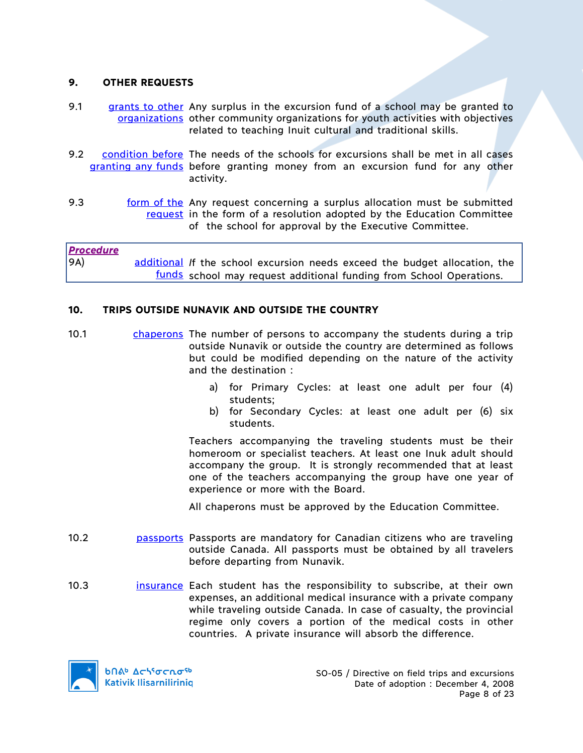### **9. OTHER REQUESTS**

- 9.1 grants to other Any surplus in the excursion fund of a school may be granted to organizations other community organizations for youth activities with objectives related to teaching Inuit cultural and traditional skills.
- 9.2 condition before The needs of the schools for excursions shall be met in all cases granting any funds before granting money from an excursion fund for any other activity.
- 9.3 **form of the Any request concerning a surplus allocation must be submitted** request in the form of a resolution adopted by the Education Committee of the school for approval by the Executive Committee.

| <b>Procedure</b> |                                                                            |  |  |  |  |                                                                     |  |
|------------------|----------------------------------------------------------------------------|--|--|--|--|---------------------------------------------------------------------|--|
| 9A)              | additional If the school excursion needs exceed the budget allocation, the |  |  |  |  |                                                                     |  |
|                  |                                                                            |  |  |  |  | funds school may request additional funding from School Operations. |  |

### **10. TRIPS OUTSIDE NUNAVIK AND OUTSIDE THE COUNTRY**

- 10.1 chaperons The number of persons to accompany the students during a trip outside Nunavik or outside the country are determined as follows but could be modified depending on the nature of the activity and the destination :
	- a) for Primary Cycles: at least one adult per four (4) students;
	- b) for Secondary Cycles: at least one adult per (6) six students.

Teachers accompanying the traveling students must be their homeroom or specialist teachers. At least one Inuk adult should accompany the group. It is strongly recommended that at least one of the teachers accompanying the group have one year of experience or more with the Board.

All chaperons must be approved by the Education Committee.

- 10.2 passports Passports are mandatory for Canadian citizens who are traveling outside Canada. All passports must be obtained by all travelers before departing from Nunavik.
- 10.3 insurance Each student has the responsibility to subscribe, at their own expenses, an additional medical insurance with a private company while traveling outside Canada. In case of casualty, the provincial regime only covers a portion of the medical costs in other countries. A private insurance will absorb the difference.

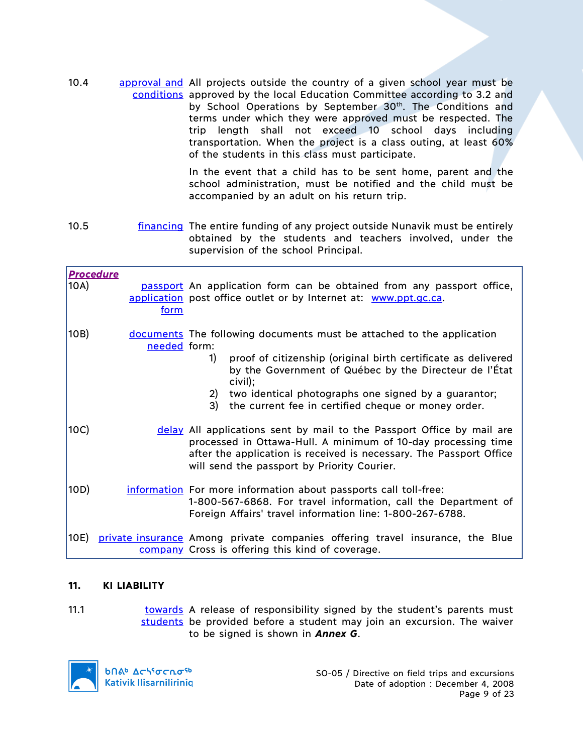10.4 **approval and All projects outside the country of a given school year must be** conditions approved by the local Education Committee according to 3.2 and by School Operations by September 30<sup>th</sup>. The Conditions and terms under which they were approved must be respected. The trip length shall not exceed 10 school days including transportation. When the project is a class outing, at least 60% of the students in this class must participate.

> In the event that a child has to be sent home, parent and the school administration, must be notified and the child must be accompanied by an adult on his return trip.

10.5 **financing** The entire funding of any project outside Nunavik must be entirely obtained by the students and teachers involved, under the supervision of the school Principal.

| <b>Procedure</b><br>10A) | <u>form</u>  | passport An application form can be obtained from any passport office,<br>application post office outlet or by Internet at: www.ppt.gc.ca.                                                                                                                                                                                                   |
|--------------------------|--------------|----------------------------------------------------------------------------------------------------------------------------------------------------------------------------------------------------------------------------------------------------------------------------------------------------------------------------------------------|
| 10B)                     | needed form: | documents The following documents must be attached to the application<br>proof of citizenship (original birth certificate as delivered<br>1)<br>by the Government of Québec by the Directeur de l'État<br>civil);<br>two identical photographs one signed by a guarantor;<br>2)<br>3)<br>the current fee in certified cheque or money order. |
| 10C)                     |              | delay All applications sent by mail to the Passport Office by mail are<br>processed in Ottawa-Hull. A minimum of 10-day processing time<br>after the application is received is necessary. The Passport Office<br>will send the passport by Priority Courier.                                                                                |
| 10D)                     |              | information For more information about passports call toll-free:<br>1-800-567-6868. For travel information, call the Department of<br>Foreign Affairs' travel information line: 1-800-267-6788.                                                                                                                                              |
| 10E)                     |              | private insurance Among private companies offering travel insurance, the Blue<br>company Cross is offering this kind of coverage.                                                                                                                                                                                                            |

## **11. KI LIABILITY**

11.1 **towards** A release of responsibility signed by the student's parents must students be provided before a student may join an excursion. The waiver to be signed is shown in *Annex G*.



**b**Πል<sup>b</sup> Δςιγσς ησ<sup>ς 6</sup> **Kativik Ilisarniliriniq**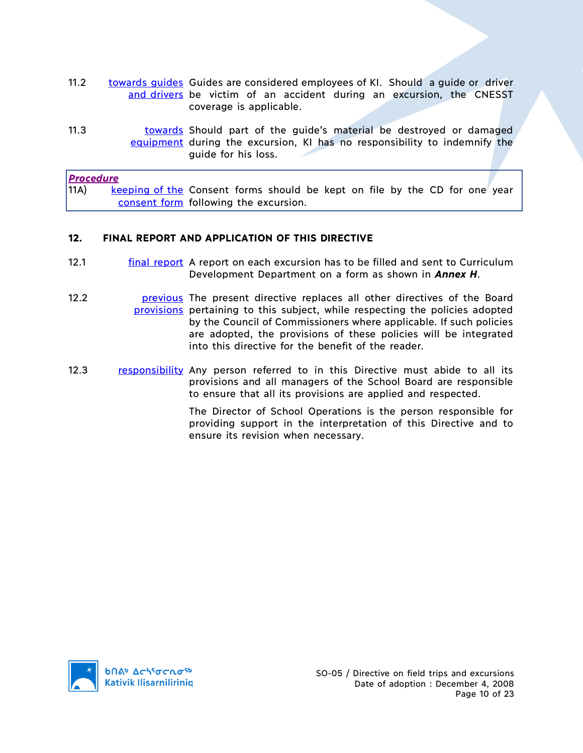- 11.2 towards guides Guides are considered employees of KI. Should a guide or driver and drivers be victim of an accident during an excursion, the CNESST coverage is applicable.
- 11.3 **towards** Should part of the guide's material be destroyed or damaged equipment during the excursion, KI has no responsibility to indemnify the guide for his loss.

*Procedure* 11A) keeping of the Consent forms should be kept on file by the CD for one year consent form following the excursion.

## **12. FINAL REPORT AND APPLICATION OF THIS DIRECTIVE**

- 12.1 **final report** A report on each excursion has to be filled and sent to Curriculum Development Department on a form as shown in *Annex H*.
- 12.2 **previous** The present directive replaces all other directives of the Board provisions pertaining to this subject, while respecting the policies adopted by the Council of Commissioners where applicable. If such policies are adopted, the provisions of these policies will be integrated into this directive for the benefit of the reader.
- 12.3 responsibility Any person referred to in this Directive must abide to all its provisions and all managers of the School Board are responsible to ensure that all its provisions are applied and respected.

The Director of School Operations is the person responsible for providing support in the interpretation of this Directive and to ensure its revision when necessary.

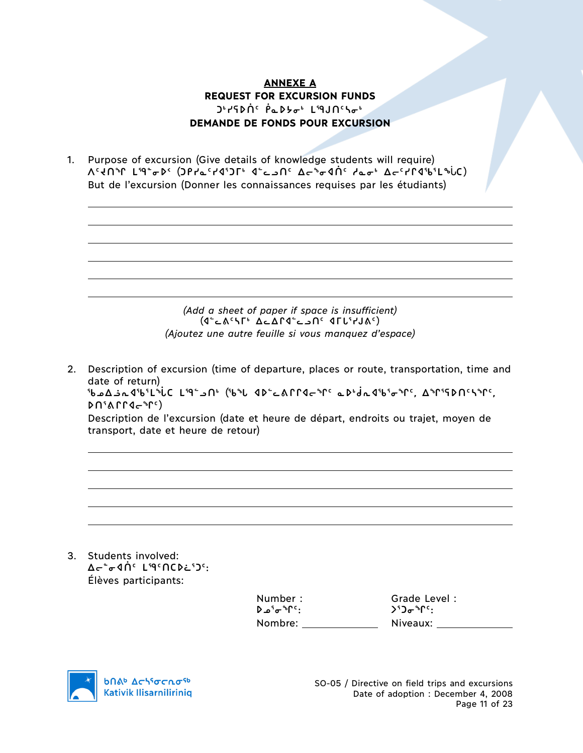**ANNEXE A REQUEST FOR EXCURSION FUNDS J**<sup>6</sup> PLDS <sup>6</sup> LEVIN 5 **DEMANDE DE FONDS POUR EXCURSION**

1. Purpose of excursion (Give details of knowledge students will require) W64U\$L LideRx (264°C)Listo of The Cital Using World (19°C) But de l'excursion (Donner les connaissances requises par les étudiants)

*(Add a sheet of paper if space is insufficient)*  **GEACST ALACATE ATLING** *(Ajoutez une autre feuille si vous manquez d'espace)*

2. Description of excursion (time of departure, places or route, transportation, time and date of return) **ckw¬Exc3m¯b mò9lt4 Gcz xs9M[QQxoq5 Ns4ƒExc3iq5, wq3Cst5nq5,**   $\mathbf{M}^{\mathbf{a}}$  $\mathbf{S}$ Description de l'excursion (date et heure de départ, endroits ou trajet, moyen de transport, date et heure de retour)

3. Students involved:  $\Delta \tau$ <sup>+</sup> $\sigma$  4 n<sup>c</sup> Liqc n C D is 12c: Élèves participants:

| Number : | Grade Level:                                                 |
|----------|--------------------------------------------------------------|
| :°0°ت°ط° | $\mathcal{L}^{\mathcal{L}}$ ጉጉጉጉ $\mathcal{L}^{\mathcal{L}}$ |
| Nombre:  | Niveaux:                                                     |

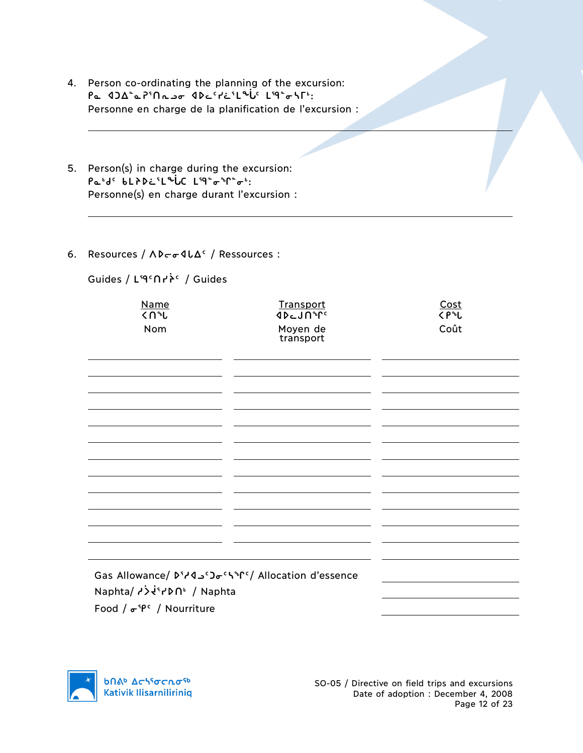- 4. Person co-ordinating the planning of the excursion: **Pa**  $4D\Delta^2$ **a**  $P^5\Omega$ **nuse**  $4Dc^cPc^cL^d$ **u**<sup>6</sup> L<sup>59</sup><sup>2</sup> o SP<sup>6</sup>: Personne en charge de la planification de l'excursion :
- 5. Person(s) in charge during the excursion: Pabd<sup>c</sup> bLPDesL<sup>a</sup>LC LigeonPob: Personne(s) en charge durant l'excursion :
- 6. Resources /  $\Lambda$ D<sub>c</sub> $\sigma$ **4**L $\Delta$ <sup>c</sup> / Ressources :

Guides / **mò5tyº5** / Guides

| <b>Name</b><br><በ <sup>ኈ</sup> ሁ | <b>Transport</b><br><b>JU-1U-LC</b> | Cost<br>$\langle P^*L$ |
|----------------------------------|-------------------------------------|------------------------|
| Nom                              | Moyen de<br>transport               | Coût                   |
|                                  |                                     |                        |
|                                  |                                     |                        |
|                                  |                                     |                        |
|                                  |                                     |                        |
|                                  |                                     |                        |
|                                  |                                     |                        |
|                                  |                                     |                        |
|                                  |                                     |                        |
| Nanhta/ Jilon / Nanhta           |                                     |                        |

Naphta/ *h* / Naphta Food /  $\sigma$ <sup>5</sup> / Nourriture

**b**Πል<sup>b</sup> Δςιγσς ησ<sup>ς 6</sup> Kativik Ilisarniliriniq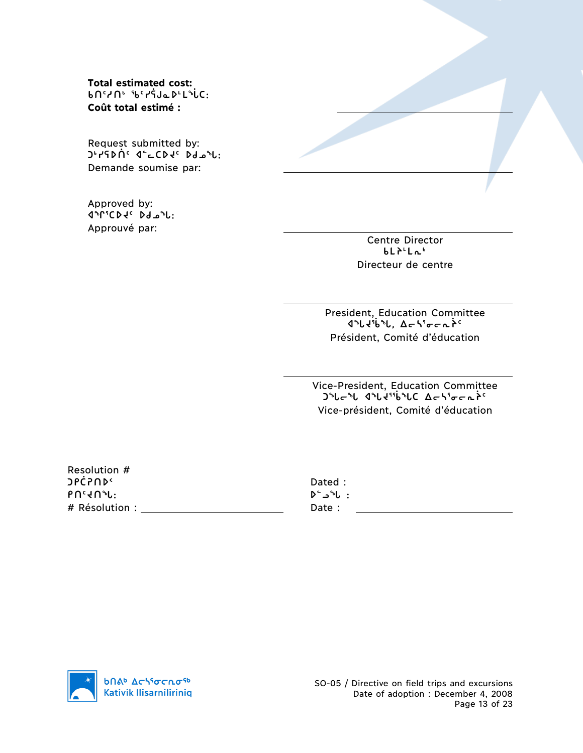**Total estimated cost:**  $b \cap c$ <sub>1</sub> $\cap$ <sup>5</sup> we set that the control of the set of the control of the control of the control of the control of the control of the control of the control of the control of the control of the control of the control of th **Coût total estimé :**

Request submitted by: **g4yCs†5 x9MbsJ5 sfkz:** Demande soumise par:

Approved by: **xq3bsJ5 sfkz:** Approuvé par:

> Centre Director  $bL^L^L$ Directeur de centre

President, Education Committee *A*<sup>8</sup>U, **A**ch<sup>5</sup><sub>0</sub>c<sub>n</sub><sup>2</sup> Président, Comité d'éducation

Vice-President, Education Committee **g**<sup>3</sup>Uc<sup>3</sup>L d<sup>3</sup>Uc<sup>3</sup>C  $\Delta c$ <sup>5</sup> Vice-président, Comité d'éducation

Resolution # **grèdual de la communitation de la communitation de la communitation de la communitation de la communitation de l rt5Jtz: s9lz :** # Résolution : Date :

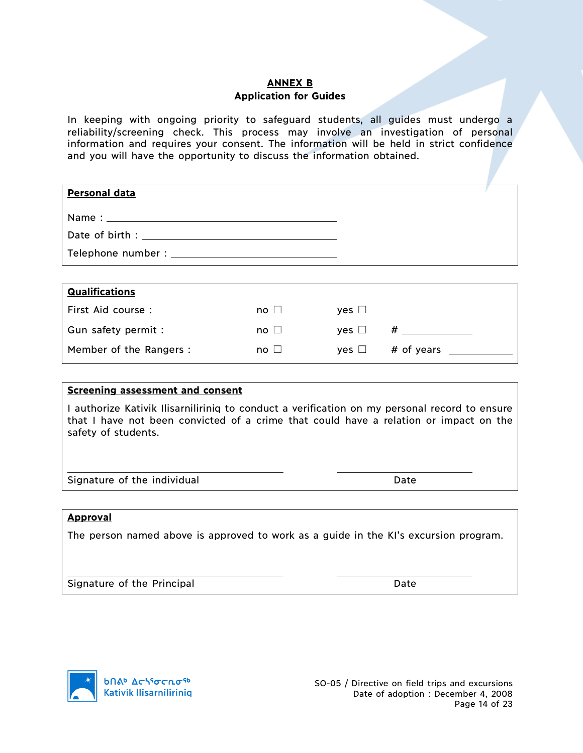### **ANNEX B**

### **Application for Guides**

In keeping with ongoing priority to safeguard students, all guides must undergo a reliability/screening check. This process may involve an investigation of personal information and requires your consent. The information will be held in strict confidence and you will have the opportunity to discuss the information obtained.

| <b>Qualifications</b>   |                         |            |            |
|-------------------------|-------------------------|------------|------------|
| First Aid course :      | $no \Box$               | $ves \Box$ |            |
| Gun safety permit :     | $\mathsf{no} \; \sqcup$ | $ves \Box$ | #          |
| Member of the Rangers : | $no \Box$               | $ves \Box$ | # of years |

### **Screening assessment and consent**

I authorize Kativik Ilisarniliriniq to conduct a verification on my personal record to ensure that I have not been convicted of a crime that could have a relation or impact on the safety of students.

Signature of the individual Date Date

### **Approval**

The person named above is approved to work as a guide in the KI's excursion program.

Signature of the Principal and Date Date Date

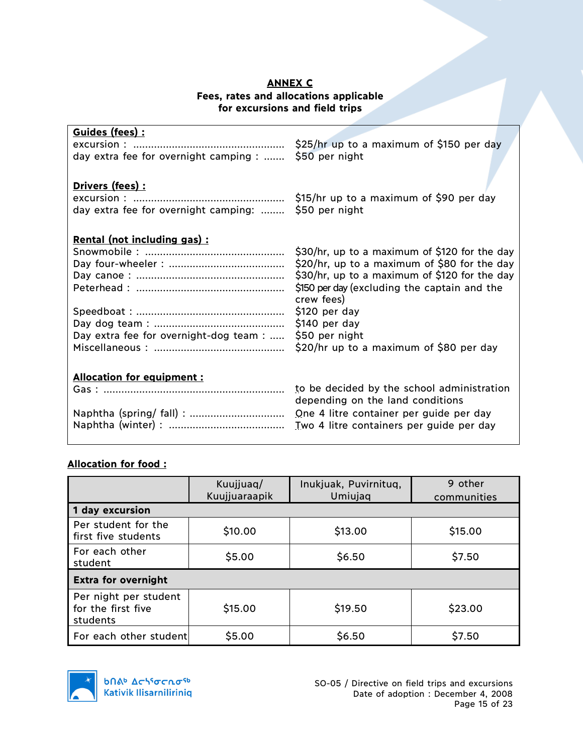# **ANNEX C**

### **Fees, rates and allocations applicable for excursions and field trips**

| <b>Guides (fees):</b><br>day extra fee for overnight camping :  \$50 per night |                                               |
|--------------------------------------------------------------------------------|-----------------------------------------------|
| Drivers (fees) :<br>day extra fee for overnight camping:  \$50 per night       |                                               |
| Rental (not including gas) :                                                   | \$30/hr, up to a maximum of \$120 for the day |
|                                                                                | \$20/hr, up to a maximum of \$80 for the day  |
|                                                                                | \$30/hr, up to a maximum of \$120 for the day |
|                                                                                | \$150 per day (excluding the captain and the  |
|                                                                                | crew fees)                                    |
|                                                                                | \$120 per day                                 |
|                                                                                | \$140 per day                                 |
| Day extra fee for overnight-dog team :                                         | \$50 per night                                |
|                                                                                | \$20/hr up to a maximum of \$80 per day       |
| <b>Allocation for equipment:</b>                                               | to be decided by the school administration    |
|                                                                                | depending on the land conditions              |
|                                                                                |                                               |

# **Allocation for food :**

|                                                         | Kuujjuag/<br>Kuujjuaraapik | Inukjuak, Puvirnituq,<br>Umiujaq | 9 other<br>communities |
|---------------------------------------------------------|----------------------------|----------------------------------|------------------------|
| 1 day excursion                                         |                            |                                  |                        |
| Per student for the<br>first five students              | \$10.00                    | \$13.00                          | \$15.00                |
| For each other<br>student                               | \$5.00                     | \$6.50                           | \$7.50                 |
| <b>Extra for overnight</b>                              |                            |                                  |                        |
| Per night per student<br>for the first five<br>students | \$15.00                    | \$19.50                          | \$23.00                |
| For each other student                                  | \$5.00                     | \$6.50                           | \$7.50                 |

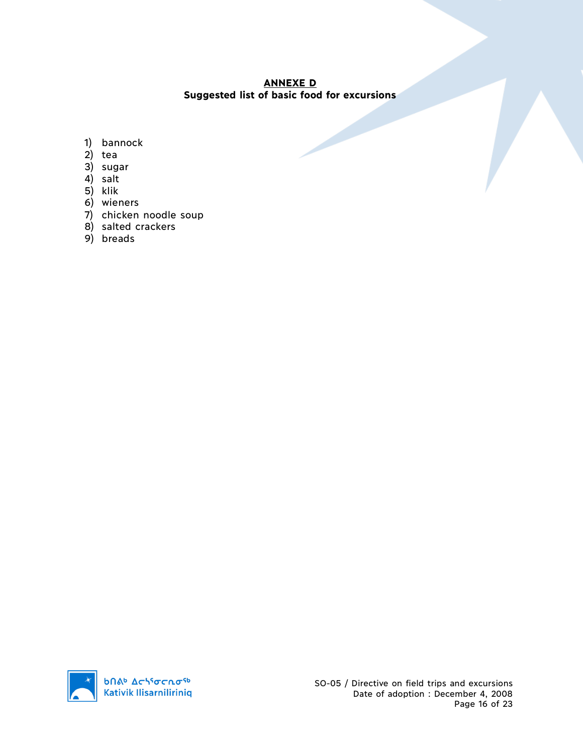## **ANNEXE D Suggested list of basic food for excursions**

- 1) bannock
- 2) tea
- 3) sugar
- 4) salt
- 5) klik
- 6) wieners
- 7) chicken noodle soup
- 8) salted crackers
- 9) breads

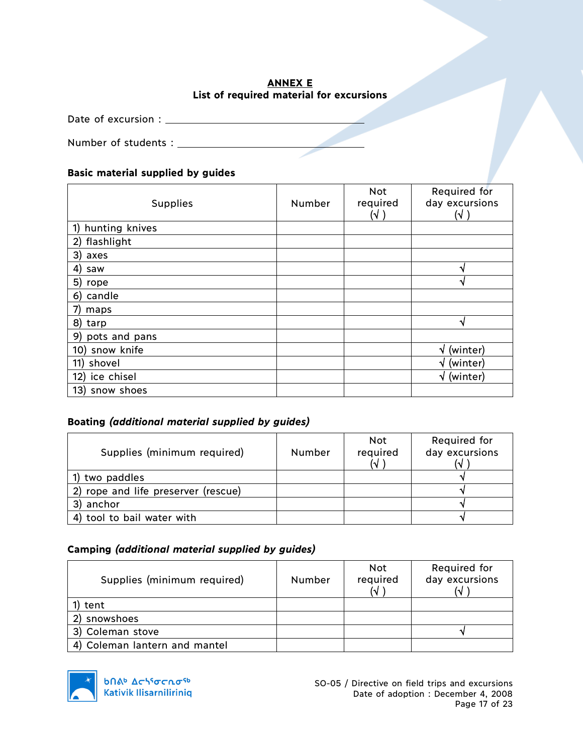# **ANNEX E List of required material for excursions**

Date of excursion :

Number of students :

# **Basic material supplied by guides**

| <b>Supplies</b>      | Number | Not<br>required<br>(√ | Required for<br>day excursions<br>(√ |
|----------------------|--------|-----------------------|--------------------------------------|
| hunting knives<br>1) |        |                       |                                      |
| flashlight<br>2)     |        |                       |                                      |
| 3) axes              |        |                       |                                      |
| 4)<br>saw            |        |                       | ٠                                    |
| 5)<br>rope           |        |                       | ٠                                    |
| candle<br>6)         |        |                       |                                      |
| maps                 |        |                       |                                      |
| 8)<br>tarp           |        |                       | ٦J                                   |
| 9)<br>pots and pans  |        |                       |                                      |
| 10) snow knife       |        |                       | (winter)<br><b>V</b>                 |
| 11) shovel           |        |                       | $\sqrt{}$ (winter)                   |
| 12) ice chisel       |        |                       | (winter)<br>V                        |
| 13) snow shoes       |        |                       |                                      |

# **Boating** *(additional material supplied by guides)*

| Supplies (minimum required)         | Number | <b>Not</b><br>required<br>W | Required for<br>day excursions |
|-------------------------------------|--------|-----------------------------|--------------------------------|
| 1) two paddles                      |        |                             |                                |
| 2) rope and life preserver (rescue) |        |                             |                                |
| anchor                              |        |                             |                                |
| 4) tool to bail water with          |        |                             |                                |

# **Camping** *(additional material supplied by guides)*

| Supplies (minimum required)   | Number | <b>Not</b><br>required<br>$\overline{\mathcal{N}}$ | Required for<br>day excursions<br>W |
|-------------------------------|--------|----------------------------------------------------|-------------------------------------|
| tent                          |        |                                                    |                                     |
| snowshoes                     |        |                                                    |                                     |
| 3) Coleman stove              |        |                                                    |                                     |
| 4) Coleman lantern and mantel |        |                                                    |                                     |

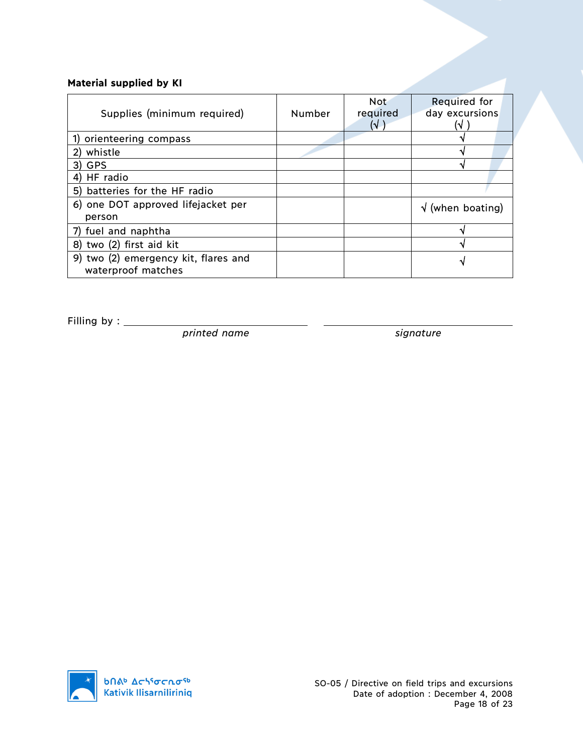# **Material supplied by KI**

|                                                            |        | Not                      | Required for             |
|------------------------------------------------------------|--------|--------------------------|--------------------------|
| Supplies (minimum required)                                | Number | required                 | day excursions           |
|                                                            |        | $\overline{\mathcal{N}}$ |                          |
| orienteering compass                                       |        |                          |                          |
| whistle                                                    |        |                          |                          |
| 3) GPS                                                     |        |                          |                          |
| 4) HF radio                                                |        |                          |                          |
| 5) batteries for the HF radio                              |        |                          |                          |
| 6) one DOT approved lifejacket per                         |        |                          | $\sqrt{}$ (when boating) |
| person                                                     |        |                          |                          |
| 7) fuel and naphtha                                        |        |                          |                          |
| 8) two (2) first aid kit                                   |        |                          |                          |
| 9) two (2) emergency kit, flares and<br>waterproof matches |        |                          |                          |

Filling by :

*printed name signature*

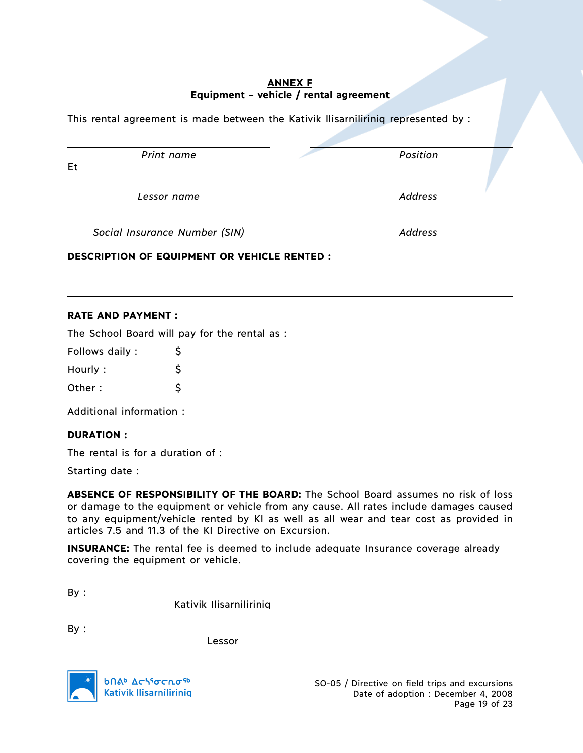### **ANNEX F Equipment – vehicle / rental agreement**

*Print name Position*

This rental agreement is made between the Kativik Ilisarniliriniq represented by :

Et

*Lessor name Address*

*Social Insurance Number (SIN) Address*

# **DESCRIPTION OF EQUIPMENT OR VEHICLE RENTED :**

# **RATE AND PAYMENT :**

The School Board will pay for the rental as :

Follows daily : \$

 $Hourly:$   $\begin{matrix} \xi & \dots & \dots & \dots \end{matrix}$ Other :  $\qquad \qquad$  \$

Additional information :

# **DURATION :**

The rental is for a duration of :

Starting date :

**ABSENCE OF RESPONSIBILITY OF THE BOARD:** The School Board assumes no risk of loss or damage to the equipment or vehicle from any cause. All rates include damages caused to any equipment/vehicle rented by KI as well as all wear and tear cost as provided in articles 7.5 and 11.3 of the KI Directive on Excursion.

**INSURANCE:** The rental fee is deemed to include adequate Insurance coverage already covering the equipment or vehicle.

By : the state of  $\mathbf{B}$ 

Kativik Ilisarniliriniq

By :

Lessor

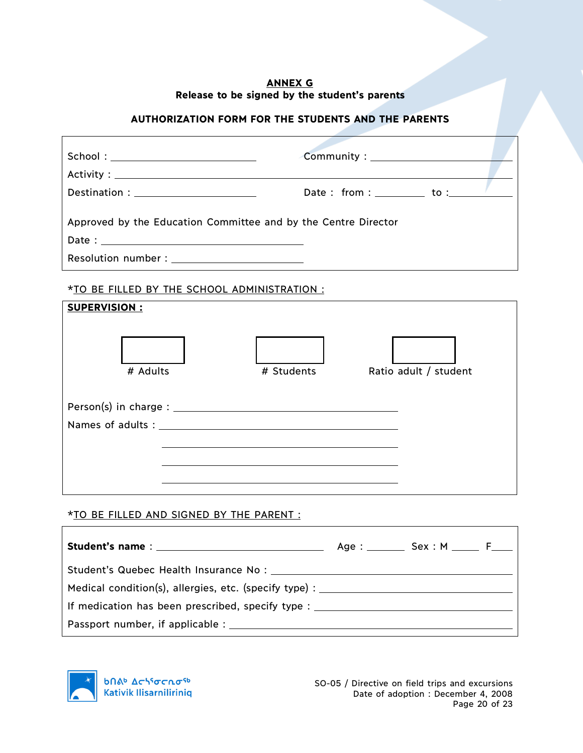### **ANNEX G Release to be signed by the student's parents**

### **AUTHORIZATION FORM FOR THE STUDENTS AND THE PARENTS**

| Destination : _________________________                        | Date: from : $\qquad \qquad$ to : $\qquad \qquad$ |
|----------------------------------------------------------------|---------------------------------------------------|
| Approved by the Education Committee and by the Centre Director |                                                   |
|                                                                |                                                   |

### \*TO BE FILLED BY THE SCHOOL ADMINISTRATION :

| <b>SUPERVISION:</b> |            |                       |
|---------------------|------------|-----------------------|
| # Adults            | # Students | Ratio adult / student |
|                     |            |                       |
|                     |            |                       |
|                     |            |                       |
|                     |            |                       |
|                     |            |                       |

# \*TO BE FILLED AND SIGNED BY THE PARENT :

|                                                                                  | $Age:$ Sex: M $\_\_$ F $\_\_$ |  |
|----------------------------------------------------------------------------------|-------------------------------|--|
|                                                                                  |                               |  |
| Medical condition(s), allergies, etc. (specify type) : _________________________ |                               |  |
| If medication has been prescribed, specify type : ______________________________ |                               |  |
|                                                                                  |                               |  |

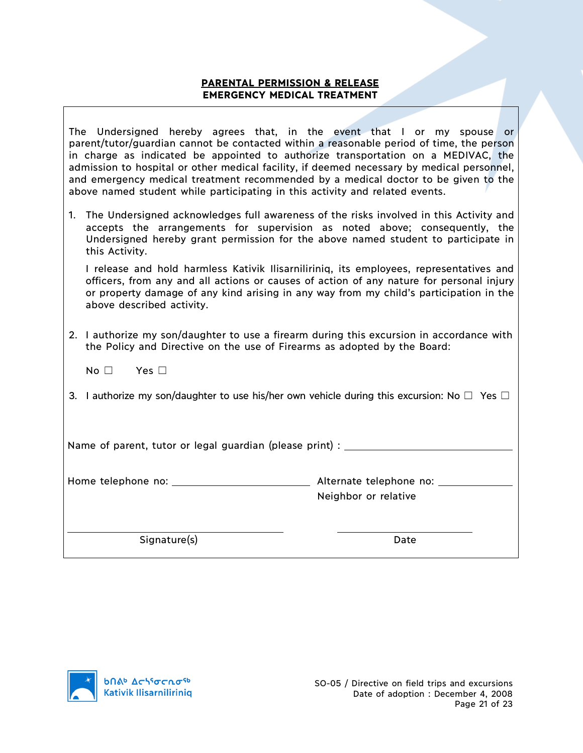## **PARENTAL PERMISSION & RELEASE EMERGENCY MEDICAL TREATMENT**

The Undersigned hereby agrees that, in the event that I or my spouse or parent/tutor/guardian cannot be contacted within a reasonable period of time, the person in charge as indicated be appointed to authorize transportation on a MEDIVAC, the admission to hospital or other medical facility, if deemed necessary by medical personnel, and emergency medical treatment recommended by a medical doctor to be given to the above named student while participating in this activity and related events.

1. The Undersigned acknowledges full awareness of the risks involved in this Activity and accepts the arrangements for supervision as noted above; consequently, the Undersigned hereby grant permission for the above named student to participate in this Activity.

I release and hold harmless Kativik Ilisarniliriniq, its employees, representatives and officers, from any and all actions or causes of action of any nature for personal injury or property damage of any kind arising in any way from my child's participation in the above described activity.

2. I authorize my son/daughter to use a firearm during this excursion in accordance with the Policy and Directive on the use of Firearms as adopted by the Board:

No □ Yes □

3. I authorize my son/daughter to use his/her own vehicle during this excursion: No  $\square$  Yes  $\square$ 

Name of parent, tutor or legal guardian (please print) :

Home telephone no: Alternate telephone no: Neighbor or relative

Signature(s) Date

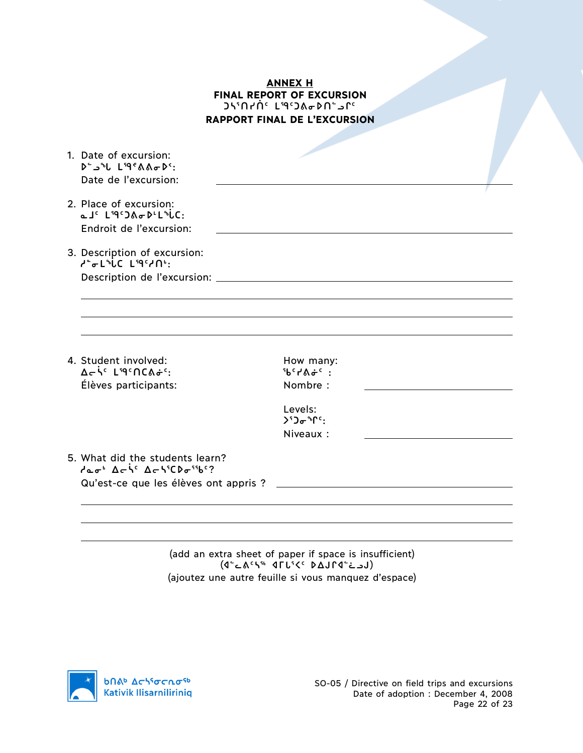## **ANNEX H FINAL REPORT OF EXCURSION agaziotic** LigeDA&DN° **RAPPORT FINAL DE L'EXCURSION**

| 1. Date of excursion:<br>$D^c$ <sub>2</sub> <sup>3</sup> U L <sup>99</sup> ° AA $\sigma$ $D^c$ :<br>Date de l'excursion:                             |                                                                   |  |
|------------------------------------------------------------------------------------------------------------------------------------------------------|-------------------------------------------------------------------|--|
| 2. Place of excursion:<br>al <sup>c</sup> L'9'JA o D'L <sup>3</sup> LC:<br>Endroit de l'excursion:                                                   |                                                                   |  |
| 3. Description of excursion:<br>J-GL"LC LI94/N":<br>Description de l'excursion:                                                                      |                                                                   |  |
|                                                                                                                                                      |                                                                   |  |
| 4. Student involved:<br>$\Delta$ $\epsilon$ is LigenCa $\sigma$ <sup>c</sup> :<br>Élèves participants:                                               | How many:<br>1964943<br>Nombre:                                   |  |
|                                                                                                                                                      | Levels:<br>$>52\sigma$ <sup>\$</sup> r <sup>c</sup> :<br>Niveaux: |  |
| 5. What did the students learn?<br>dag <sup>6</sup> Acs <sup>c</sup> Acs <sup>5</sup> CDg <sup>55</sup> bc?<br>Qu'est-ce que les élèves ont appris ? |                                                                   |  |
|                                                                                                                                                      |                                                                   |  |
|                                                                                                                                                      |                                                                   |  |
|                                                                                                                                                      |                                                                   |  |

(add an extra sheet of paper if space is insufficient) (J~مذم<sup>0 د</sup>Aر 1FL<sup>1</sup><۲ میلادی) (ajoutez une autre feuille si vous manquez d'espace)